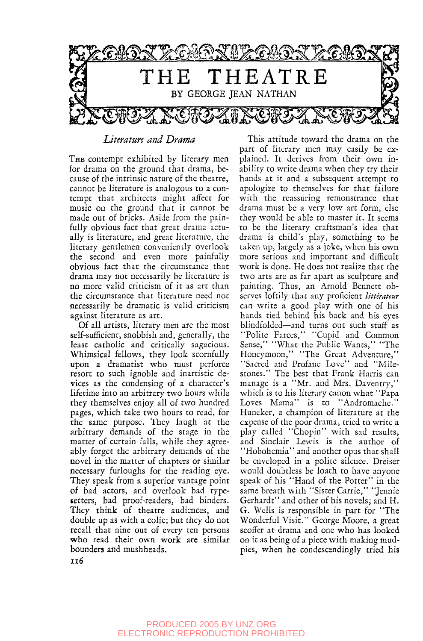

### *Literature and Drama*

THE contempt exhibited by literary men for drama on the ground that drama, because of the intrinsic nature of the theatre, cannot be literature is analogous to a contempt that architects might affect for music on the ground that it cannot be made out of bricks. Aside from the painfully obvious fact that great drama actually is literature, and great literature, the literary gentlemen conveniently overlook the second and even more painfully obvious fact that the circumstance that drama may not necessarily be literature is no more valid criticism of it as art than the circumstance that literature need not necessarily be dramatic is valid criticism against literature as art.

Of all artists, literary men are the most self-sufficient, snobbish and, generally, the least catholic and critically sagacious. Whimsical fellows, they look scornfully upon a dramatist who must perforce resort to such ignoble and inartistic devices as the condensing of a character's lifetime into an arbitrary two hours while they themselves enjoy all of two hundred pages, which take two hours to read, for the same purpose. They laugh at the arbitrary demands of the stage in the matter of curtain falls, while they agreeably forget the arbitrary demands of the novel in the matter of chapters or similar necessary furloughs for the reading eye. They speak from a superior vantage point of bad actors, and overlook bad typesetters, bad proof-readers, bad binders. They think of theatre audiences, and double up as with a colic; but they do not recall that nine out of every ten persons who read their own work arc similar bounders and mushheads.

This attitude toward the drama on the part of literary men may easily be explained. It derives from their own inability to write drama when they try their hands at it and a subsequent attempt to apologize to themselves for that failure with the reassuring remonstrance that drama must be a very low art form, else they would be able to master it. It seems to be the literary craftsman's idea that drama is child's play, something to be taken up, largely as a joke, when his own more serious and important and difficult work is done. He does not realize that the two arts are as far apart as sculpture and painting. Thus, an Arnold Bennett observes loftily that any proficient *littérateur* can write a good play with one of his hands tied behind his back and his eyes blindfolded—and turns out such stuff as "Polite Farces," "Cupid and Common Sense," "What the Public Wants," "The Honeymoon," "The Great Adventure," "Sacred and Profane Love" and "Milestones." The best that Frank Harris can manage is a "Mr. and Mrs. Daventry," which is to his literary canon what "Papa Loves Mama" is to "Andromache." Huneker, a champion of literature at the expense of the poor drama, tried to write a play called "Chopin" with sad results, and Sinclair Lewis is the author of "Hobohemia" and another opus that shall be enveloped in a polite silence. Dreiser would doubtless be loath to have anyone speak of his "Hand of the Potter" in the same breath with "Sister Carrie," "Jennie Gerhardt" and other of his novels; and H. G. Wells is responsible in part for "The Wonderful Visit." George Moore, a great scoffer at drama and one who has looked on it as being of a piece with making mudpies, when he condescendingly tried his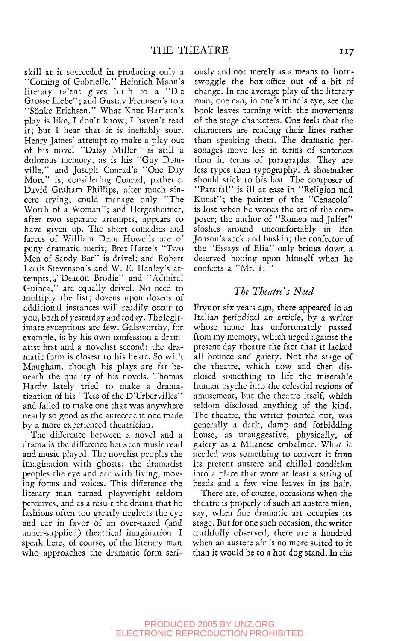skill at it succeeded in producing only a "Coming of Gabrielle." Heinrich Mann's literary talent gives birth to a "Die Grosse Liebc"; and Gustav Frennsen's to a "Sönke Erichsen." What Knut Hamsun's play is like, I don't know; I haven't read it; but I hear that it is ineffably sour. Henry James' attempt to make a play out of his novel "Daisy Miller" is still a dolorous memory, as is his "Guy Domville," and Joseph Conrad's "One Day More" is, considering Conrad, pathetic. David Graham Phillips, after much sincere trying, could manage only "The Worth of a Woman"; and Hergesheimer, after two separate attempts, appears to have given up. The short comedies and farces of William Dean Howells are of puny dramatic merit; Bret Harte's "Two Men of Sandy Bar" is drivel; and Robert Louis Stevenson's and W. E. Henley's attempts, & 'Deacon Brodie'' and "Admiral Guinea," are equally drivel. No need to multiply the list; dozens upon dozens of additional instances will readily occur to you, both of yesterday and today. The legitimate exceptions are few. Galsworthy, for example, is by his own confession a dramatist first and a novelist second: the dramatic form is closest to his heart. So with Maugham, though his plays are far beneath the quality of his novels. Thomas Hardy lately tried to make a dramatization of his "Tess of the D'Urbervilles" and failed to make one that was anywhere nearly so good as the antecedent one made by a more experienced theatrician.

The difference between a novel and a drama is the difference between music read and music played. The novelist peoples the imagination with ghosts; the dramatist peoples the eye and ear with living, moving forms and voices. This difference the literary man turned playwright seldom perceives, and as a result the drama that he fashions often too greatly neglects the eye and ear in favor of an over-taxed (and under-supplied) theatrical imagination. I speak here, of course, of the literary man who approaches the dramatic form seri-

ously and not merely as a means to hornswoggle the box-office out of a bit of change. In the average play of the literary man, one can, in one's mind's eye, see the book leaves turning with the movements of the stage characters. One feels that the characters are reading their lines rather than speaking them. The dramatic personages move less in terms of sentences than in terms of paragraphs. They are less types than typography. A shoemaker should stick to his last. The composer of "Parsifal" is ill at ease in "Religion und Kunst"; the painter of the "Cenacolo" is lost when he wooes the art of the composer; the author of "Romeo and Juliet" sloshes around uncomfortably in Ben Jonson's sock and buskin; the confector of the "Essays of Elia" only brings down a deserved booing upon himself when he confects a "Mr. H."

## *The Theatre's Need*

FIVE or six years ago, there appeared in an Italian periodical an article, by a writer whose name has unfortunately passed from my memory, which urged against the present-day theatre the fact that *it* lacked all bounce and gaiety. Not the stage of the theatre, which now and then disclosed something to lift the miserable human psyche into the celestial regions of amusement, but the theatre itself, which seldom disclosed anything of the kind. The theatre, the writer pointed out, was generally a dark, damp and forbidding house, as unsuggestive, physically, of gaiety as a Milanese embalmer. What it needed was something to convert it from its present austere and chilled condition into a place that wore at least a string of beads and a few vine leaves in its hair.

There are, of course, occasions when the theatre is properly of such an austere mien, say, when fine dramatic art occupies its stage. But for one such occasion, the writer truthfully observed, there are a hundred when an austere air is no more suited to it than it would be 10 a hot-dog stand. In **the**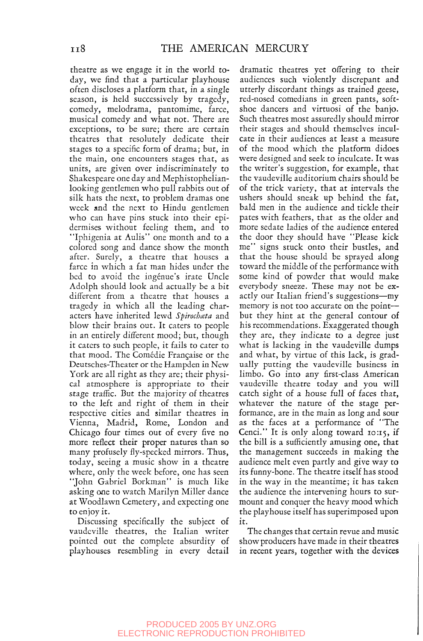theatre as we engage it in the world today, we find that a particular playhouse often discloses a platform that, in a single season, is held successively by tragedy, comedy, melodrama, pantomime, farce, musical comedy and what not. There are exceptions, to be sure; there are certain theatres that resolutely dedicate their stages to a specific form of drama; but, in the main, one encounters stages that, as units, are given over indiscriminately to Shakespeare one day and Mephistophelianlooking gentlemen who pull rabbits out of silk hats the next, to problem dramas one week and the next to Hindu gentlemen who can have pins stuck into their epidermises without feeling them, and to "Iphigenia at Aulis" one month and to a colored song and dance show the month after. Surely, a theatre that houses a farce in which a fat man hides under the bed to avoid the ingenue's irate Uncle Adolph should look and actually be a bit different from a theatre that houses a tragedy in which all the leading characters have inherited lewd *Sfirochata* and blow their brains out. It caters to people in an entirely different mood; but, though it caters to such people, it fails to cater to that mood. The Comedie Frangaise or the Dcutsches-Theater or the Hampden in New York are all right as they are; their physical atmosphere is appropriate to their stage traffic. But the majority of theatres to the left and right of them in their respective cities and similar theatres in Vienna, Madrid, Rome, London and Chicago four times out of every five no more reflect their proper natures than so many profusely fly-specked mirrors. Thus, today, seeing a music show in a theatre where, only the week before, one has seen "John Gabriel Borkman" is much like asking one to watch Marilyn Miller dance at Woodlawn Cemetery, and expecting one to enjoy it.

Discussing specifically the subject of vaudeville theatres, the Italian writer pointed out the complete absurdity of playhouses resembling in every detail

dramatic theatres yet offering to their audiences such violently discrepant and utterly discordant things as trained geese, red-nosed comedians in green pants, softshoe dancers and virtuosi of the banjo. Such theatres most assuredly should mirror their stages and should themselves inculcate in their audiences at least a measure of the mood which the platform didoes were designed and seek to inculcate. It was the writer's suggestion, for example, that the vaudeville auditorium chairs should be of the trick variety, that at intervals the ushers should sneak up behind the fat, bald men in the audience and tickle their pates with feathers, that as the older and more sedate ladies of the audience entered the door they should have "Please kick me" signs stuck onto their bustles, and that the house should be sprayed along toward the middle of the performance with some kind of powder that would make everybody sneeze. These may not be exactly our Italian friend's suggestions—my memory is not too accurate on the point but they hint at the general contour of his recommendations. Exaggerated though they are, they indicate to a degree just what is lacking in the vaudeville dumps and what, by virtue of this lack, is gradually putting the vaudeville business in limbo. Go into any first-class American vaudeville theatre today and you will catch sight of a house full of faces that, whatever the nature of the stage performance, are in the main as long and sour as the faces at a performance of "The Cenci." It is only along toward 10:15, if the bill is a sufficiently amusing one, that the management succeeds in making the audience melt even partly and give way to its funny-bone. The theatre itself has stood in the way in the meantime; *it* has taken the audience the intervening hours to surmount and conquer the heavy mood which the playhouse itself has superimposed upon it.

The changes that certain revue and music show producers have made in their theatres in recent years, together with the devices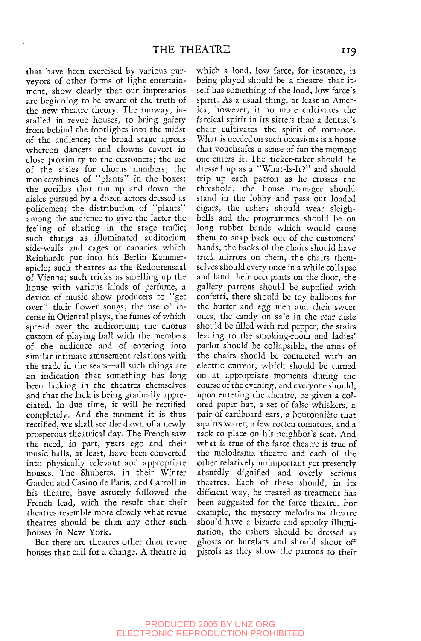that have been exercised by various purveyors of other forms of light entertainment, show clearly that our impresarios are beginning to be aware of the truth of the new theatre theory. The runway, installed in revue houses, to bring gaiety from behind the footlights into the midst of the audience; the broad stage aprons whereon dancers and clowns cavort in close proximity to the customers; the use of the aisles for chorus numbers; the monkeyshines of "plants" in the boxes; the gorillas that run up and down the aisles pursued by a dozen actors dressed as policemen; the distribution of "plants" among the audience to give the latter the feeling of sharing in the stage traffic; such things as illuminated auditorium side-walls and cages of canaries which Reinhardt put into his Berlin Kammerspiele; such theatres as the Redoutensaal of Vienna; such tricks as smelling up the house with various kinds of perfume, a device of music show producers to *"get*  over" their flower songs; the use of incense in Oriental plays, the fumes of which spread over the auditorium; the chorus custom of playing ball with the members of the audience and of entering into similar intimate amusement relations with the trade in the seats—all such things are an indication that something has long been lacking in the theatres themselves and that the lack is being gradually appreciated. In due time, it will be rectified completely. And the moment it is thus rectified, we shall see the dawn of a newly prosperous theatrical day. The French saw the need, in part, years ago and their music halls, at least, have been converted into physically relevant and appropriate houses. The Shuberts, in their Winter Garden and Casino de Paris, and Carroll in his theatre, have astutely followed the French lead, with the result that their theatres resemble more closely what revue theatres should be than any other such houses in New York.

But there are theatres other than revue houses that call for a change. A theatre in

which a loud, low farce, for instance, is being played should be a theatre that itself has something of the loud, low farce's spirit. As a usual thing, at least in America, however, it no more cultivates the farcical spirit in its sitters than a dentist's chair cultivates the spirit of romance. What is needed on such occasions is a house that vouchsafes a sense of fun the moment one enters it. The ticket-taker should be dressed up as a "What-Is-It?" and should trip up each patron as he crosses the threshold, the house manager should stand in the lobby and pass out loaded cigars, the ushers should wear sleighbells and the programmes should be on long rubber bands which would cause them to snap back out of the customers' hands, the backs of the chairs should have trick mirrors on them, the chairs themselves should every once in a while collapse and land their occupants on the floor, the gallery patrons should be supplied with confetti, there should be toy balloons for the butter and egg men and their sweet ones, the candy on sale in the rear aisle should be filled with red pepper, the stairs leading to the smoking-room and ladies' parlor should be collapsible, the arms of the chairs should be connected with an electric current, which should be turned on at appropriate moments during the course of the evening, and everyone should, upon entering the theatre, be given a colored paper hat, a set of false whiskers, a pair of cardboard ears, a boutonnière that squirts water, a few rotten tomatoes, and a tack to place on his neighbor's seat. And what is true of the farce theatre is true of the melodrama theatre and each of the other relatively unimportant yet presently absurdly dignified and overly serious theatres. Each of these should, in its different way, be treated as treatment has been suggested for the farce theatre. For example, the mystery melodrama theatre should have a bizarre and spooky illumination, the ushers should be dressed as ghosts or burglars and should shoot off pistols as they show the patrons to their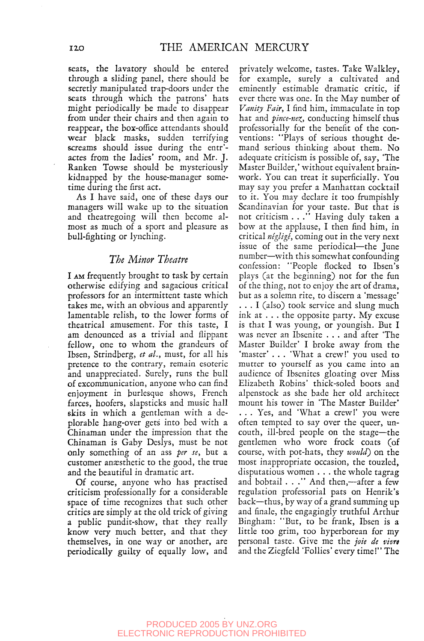scats, the lavatory should be entered through a sliding panel, there should be secretly manipulated trap-doors under the seats through which the patrons' hats might periodically be made to disappear from under their chairs and then again to reappear, the box-ofhce attendants should wear black masks, sudden terrifying screams should issue during the entr' actes from the ladies' room, and Mr. J. Ranken Towse should be mysteriously kidnapped by the house-manager sometime during the first act.

As I have said, one of these days our managers will wake up to the situation and theatregoing will then become almost as much of a sport and pleasure as bull-fighting or lynching.

### *The Minor Theatre*

I AM frequently brought to task by certain otherwise edifying and sagacious critical professors for an intermittent taste which takes me, with an obvious and apparently lamentable relish, to the lower forms of theatrical amusement. For this taste, I am denounced as a trivial and flippant fellow, one to whom the grandeurs of Ibsen, Strindberg, *et al.,* must, for all his pretence to the contrary, remain esoteric and unappreciated. Surely, runs the bull of excommunication, anyone who can find enjoyment in burlesque shows, French farces, hoofers, slapsticks and music hall skits in which a gentleman with a deplorable hang-over gets into bed with a Chinaman under the impression that the Chinaman is Gaby Deslys, must be not only something of an ass *^er se,* but a customer anasthetic to the good, the true and the beautiful in dramatic art.

Of course, anyone who has practised criticism professionally for a considerable space of time recognizes that such other critics are simply at the old trick of giving a public pundit-show, that they really know very much better, and that they themselves, in one way or another, are periodically guilty of equally low, and

privately welcome, tastes. Take Walkley, for example, surely a cultivated and eminently estimable dramatic critic, if ever there was one. In the May number of *Vanity Fair,* I find him, immaculate in top hat and *pince-nez,* conducting himself thus professorially for the benefit of the conventions: "Plays of serious thought demand serious thinking about them. No adequate criticism is possible of, say, 'The Master Builder,' without equivalent brainwork. You can treat it superficially. You may say you prefer a Manhattan cocktail to it. You may declare it too frumpishly Scandinavian for your taste. But that is not criticism ... " Having duly taken a bow at the applause, I then find him, in critical *neglige,* coming out in the very next issue of the same periodical—the June number—with this somewhat confounding confession: "People flocked to Ibsen's plays (at the beginning) not for the fun of the thing, not to enjoy the art of drama, but as a solemn rite, to discern a 'message' ... I (also) took service and slung much ink at . . . the opposite party. My excuse is that I was young, or youngish. But I was never an Ibsenite . . . and after 'The Master Builder' I broke away from the 'master' . . . 'What a crew!' you used to mutter to yourself as you came into an audience of Ibsenites gloating over Miss Elizabeth Robins' thick-soled boots and alpenstock as she bade her old architect mount his tower in 'The Master Builder' . . . Yes, and 'What a crew!' you were often tempted to say over the queer, uncouth, ill-bred people on the stage—the gentlemen who wore frock coats (of course, with pot-hats, they *would)* on the most inappropriate occasion, the touzled, disputatious women . . . the whole tagrag and bobtail ... " And then,—after a few regulation professorial pats on Henrik's back—thus, by way of a grand summing up and finale, the engagingly truthful Arthur Bingham: "But, to be frank, Ibsen is a little too grim, too hyperborean for my personal taste. Give me the *joie de vivrs*  and the Ziegfeld 'Follies' every time!" The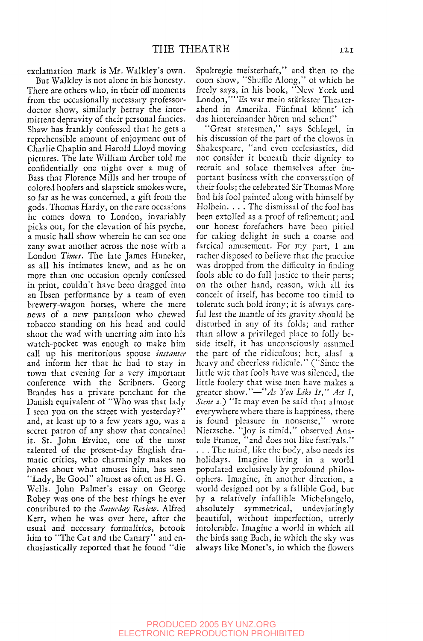exclamation mark is Mr. Walkley's own.

But Walkley is not alone in his honesty. There are others who, in their off moments from the occasionally necessary professordoctor show, similarly betray the intermittent depravity of their personal fancies. Shaw has frankly confessed that he gets a reprehensible amount of enjoyment out of Charlie Chaplin and Harold Lloyd moving pictures. The late William Archer told me confidentially one night over a mug of Bass that Florence Mills and her troupe of colored hoofers and slapstick smokes were, so far as he was concerned, a gift from the gods. Thomas Hardy, on the rare occasions he comes down to London, invariably picks out, for the elevation of his psyche, a music hall show wherein he can see one zany swat another across the nose with a London *Times.* The late James Huneker, as all his intimates knew, and as he on more than one occasion openly confessed in print, couldn't have been dragged into an Ibsen performance by a team of even brewery-wagon horses, where the mere news of a new pantaloon who chewed tobacco standing on his head and could shoot the wad with unerring aim into his watch-pocket was enough to make him call up his meritorious spouse *instanter*  and inform her that he had to stay in town that evening for a very important conference with the Scribners. Georg Brandes has a private penchant for the Danish equivalent of "Who was that lady I seen you on the street with yesterday?" and, at least up to a few years ago, was a secret patron of any show that contained it. St. John Ervine, one of the most talented of the present-day English dramatic critics, who charmingly makes no bones about what amuses him, has seen "Lady, Be Good" almost as often as H. G. Wells. John Palmer's essay on George Robey was one of the best things he ever contributed to the *Saturday Keview.* Alfred Kerr, when he was over here, after the usual and necessary formalities, betook him to "The Cat and the Canary" and enthusiastically reported that he found "die

Spukregie meisterhaft," and then to the coon show, "Shuffle Along," ol which he freely says, in his book, "New York und London, ""Es war mein starkster Theaterabend in Amerika. Fünfmal könnt' ich das hintereinander hören und sehen!"

"Great statesmen," says Schlegel, in his discussion of the part of the clowns in Shakespeare, "and even ecclesiastics, did not consider it beneath their dignity to recruit and solace themselves after important business with the conversation of their fools; the celebrated Sir Thomas More had his fool painted along with himself by Holbein. . . . The dismissal of the fool has been extolled as a proof of refinement; and our honest forefathers have been pitied for taking delight in such a coarse and farcical amusement. For my part, I am rather disposed to believe that the practice was dropped from the difficulty in finding fools able to do full justice to their parts; on the other hand, reason, with all its conceit of itself, has become too timid to tolerate such bold irony; it is always careful lest the mantle of its gravity should be disturbed in any of its folds; and rather than allow a privileged place to folly beside itself, it has unconsciously assumed the part of the ridiculous; but, alas! a heavy and cheerless ridicule." ("Since the little wit that fools have was silenced, the little foolery that wise men have makes a greater show."—*''As You Like It," Act I, Scene 2.')* "It may even be said that almost everywhere where there is happiness, there is found pleasure in nonsense," wrote Nietzsche. "Joy is timid," observed Anatole France, "and does not like festivals." . . . The mind, like the body, also needs its holidays. Imagine living in a world populated exclusively by profound philosophers. Imagine, in another direction, a world designed not by a fallible God, but by a relatively infallible Michelangelo, absolutely symmetrical, undeviatingly beautiful, without imperfection, utterly intolerable. Imagine a world in which all the birds sang Bach, in which the sky was always like Monet's, in which the flowers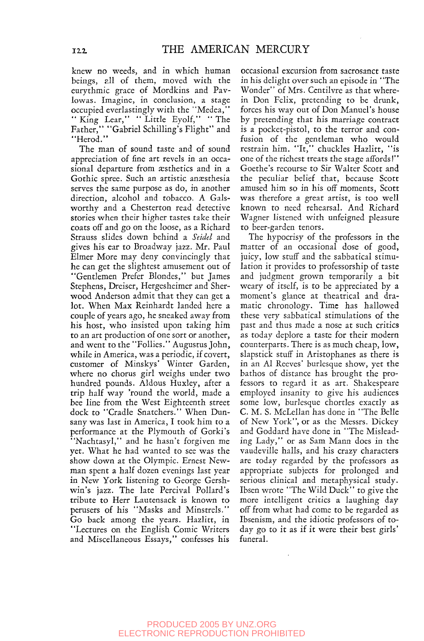knew no weeds, and in which human beings, EU of them, moved with the eurythmic grace of Mordkins and Pavlowas. Imagine, in conclusion, a stage occupied everlastingly with the "Medea," " King Lear," " Little Eyolf," " The Father," "Gabriel Schilling's Flight" and "Herod."

The man of sound taste and of sound appreciation of fine art revels in an occasional departure from aesthetics and in a Gothic spree. Such an artistic anæsthesia serves the same purpose as do, in another direction, alcohol and tobacco. A Galsworthy and a Chesterton read detective stories when their higher tastes take their coats off and go on the loose, as a Richard Strauss slides down behind a *Seidel* and gives his ear to Broadway jazz. Mr. Paul Elmer More may deny convincingly that he can get the slightest amusement out of "Gentlemen Prefer Blondes," but James Stephens, Dreiser, Hergesheimer and Sherwood Anderson admit that they can get a lot. When Max Reinhardt landed here a couple of years ago, he sneaked away from his host, who insisted upon taking him to an art production of one sort or another, and went to the "Follies." Augustus John, while in America, was a periodic, if covert, customer of Minskys' Winter Garden, where no chorus girl weighs under two hundred pounds. Aldous Huxley, after a trip half way 'round the world, made a bee line from the West Eighteenth street dock to "Cradle Snatchers." When Dunsany was last in America, I took him to a performance at the Plymouth of Gorki's "Nachtasyl," and he hasn't forgiven me yet. What he had wanted to see was the show down at the Olympic. Ernest Newman spent a half dozen evenings last year in New York listening to George Gershwin's jazz. The late Percival Pollard's tribute to Herr Lautensack is known to perusers of his "Masks and Minstrels." Go back among the years. Hazlitt, in "Lectures on the English Comic Writers and Miscellaneous Essays," confesses his

occasional excursion from sacrosanct taste in his delight over such an episode in ' 'The Wonder" of Mrs. Ccntilvre as that wherein Don Felix, pretending to be drunk, forces his way out of Don Manuel's house by pretending that his marriage contract is a pocket-pistol, to the terror and confusion of the gentleman who would restrain him. "It," chuckles Hazlitt, "is one of the richest treats the stage affords!" Goethe's recourse to Sir Walter Scott and the peculiar belief that, because Scott amused him so in his off moments, Scott was therefore a great artist, is too well known to need rehearsal. And Richard Wagner listened with unfeigned pleasure to beer-garden tenors.

The hypocrisy of the professors in the matter of an occasional dose of good, juicy, low stuff and the sabbatical stimulation it provides to professorship of taste and judgment grown temporarily a bit weary of itself, is to be appreciated by a moment's glance at theatrical and dramatic chronology. Time has hallowed these very sabbatical stimulations of the past and thus made a nose at such critics as today deplore a taste for their modern counterparts. There is as much cheap, low, slapstick stuff in Aristophanes as there is in an Al Reeves' burlesque show, yet the bathos of distance has brought the professors to regard it as art. Shakespeare employed insanity to give his audiences some low, burlesque chortles exactly as C. M. S. McLellan has done in "The Belle of New York", or as the Messrs. Dickey and Goddard have done in "The Misleading Lady," or as Sam Mann does in the vaudeville halls, and his crazy characters are today regarded by the professors as appropriate subjects for prolonged and serious clinical and metaphysical study. Ibsen wrote "The Wild Duck" to give the more intelligent critics a laughing day off from what had come to be regarded as Ibsenism, and the idiotic professors of today go to it as if it were their best girls' funeral.